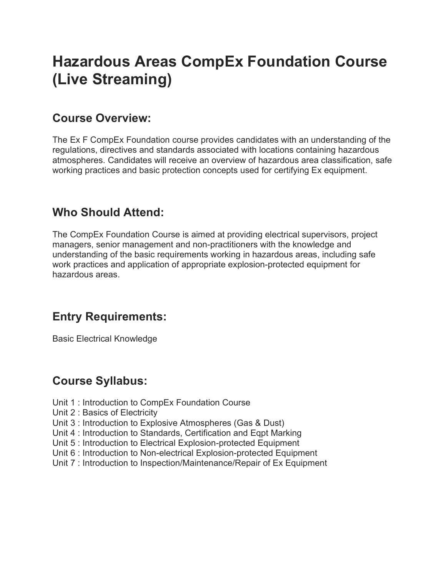# Hazardous Areas CompEx Foundation Course (Live Streaming)

# Course Overview:

The Ex F CompEx Foundation course provides candidates with an understanding of the regulations, directives and standards associated with locations containing hazardous atmospheres. Candidates will receive an overview of hazardous area classification, safe working practices and basic protection concepts used for certifying Ex equipment.

# Who Should Attend:

The CompEx Foundation Course is aimed at providing electrical supervisors, project managers, senior management and non-practitioners with the knowledge and understanding of the basic requirements working in hazardous areas, including safe work practices and application of appropriate explosion-protected equipment for hazardous areas.

### Entry Requirements:

Basic Electrical Knowledge

### Course Syllabus:

- Unit 1 : Introduction to CompEx Foundation Course
- Unit 2 : Basics of Electricity
- Unit 3 : Introduction to Explosive Atmospheres (Gas & Dust)
- Unit 4 : Introduction to Standards, Certification and Eqpt Marking
- Unit 5 : Introduction to Electrical Explosion-protected Equipment
- Unit 6 : Introduction to Non-electrical Explosion-protected Equipment
- Unit 7 : Introduction to Inspection/Maintenance/Repair of Ex Equipment